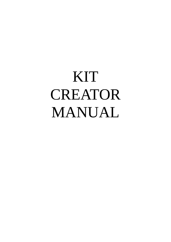# KIT CREATOR MANUAL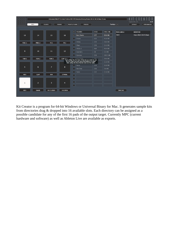| 0000<br>0000     |                   |                  |                                 | /Volumes/VALLEY F/Linked Folders/HGS EXT/Samples/Analog Drums 24-bit 44.1k/Bass Drums                                                                  |                                |          |                     |                                                               |
|------------------|-------------------|------------------|---------------------------------|--------------------------------------------------------------------------------------------------------------------------------------------------------|--------------------------------|----------|---------------------|---------------------------------------------------------------|
| 0000<br>0000     | PADS              | <b>FOLDERS</b>   | <b>PARAMS</b><br>PRESETS/THEMES | <b>PROCESS</b>                                                                                                                                         |                                |          | Tooltips $\sqrt{ }$ | hgsounds.com<br>v0.99<br><b>DEFAULT</b><br><b>OPEN MANUAL</b> |
|                  |                   |                  |                                 | $\mathbf{x}$<br><b>FOLDERS</b>                                                                                                                         | 3558                           | 398.1 MB | <b>PAD LABELS</b>   | <b>MODIFIED</b>                                               |
| 13               | 14                | 15               | 16                              | $\left\vert \mathbf{v}\right\vert$<br><b>Bass Drums</b>                                                                                                | 577                            | 69.8 MB  | <b>Basic</b>        | 8 Jun 2022 10:57:28am                                         |
|                  |                   |                  |                                 | <b>Snares</b><br>□                                                                                                                                     | 623                            | 45.6 MB  |                     |                                                               |
| PERC 1           | PERC <sub>2</sub> | FX <sub>1</sub>  | FX <sub>2</sub>                 | <b>HiHats</b><br>□                                                                                                                                     | 233                            | 18.0 MB  |                     |                                                               |
|                  |                   |                  |                                 | O<br>Claps                                                                                                                                             | 156                            | 14.4 MB  |                     |                                                               |
|                  |                   |                  | Π                               | <b>Hihats 2</b>                                                                                                                                        | 464                            | 40.4 MB  |                     |                                                               |
| 9                | 10                | 11               | 12                              | <b>Cow Bells</b><br>H                                                                                                                                  | 58                             | 5.5 MB   |                     |                                                               |
|                  |                   |                  |                                 | Cymbals<br>- 1                                                                                                                                         | 529                            | 102.5 MB |                     |                                                               |
| TOM <sub>1</sub> | TOM <sub>2</sub>  | TOM <sub>3</sub> | COW PELL                        | Dual Sunth                                                                                                                                             | 285                            | 39.0 MB  |                     |                                                               |
|                  |                   |                  |                                 | Type a label for the type of Sound you want to use<br>for this Pad. You can save/load labels as Label<br>Sets using the Save button over on the right. |                                | 13.8 MB  |                     |                                                               |
| 5                | 6                 | $\overline{7}$   | 8                               | Noise<br>- 11                                                                                                                                          | 128                            | 13.8 MB  |                     |                                                               |
|                  |                   |                  |                                 |                                                                                                                                                        | <b>Rim Shot</b><br><b>STAR</b> | 130      | 9.6 MB              |                                                               |
|                  |                   |                  |                                 | Ω<br>Toms                                                                                                                                              | 232                            | 25.6 MB  |                     |                                                               |
| <b>KICK</b>      | <b>CLAP</b>       | <b>RIM</b>       | <b>CYMBAL</b>                   | ┍                                                                                                                                                      |                                |          |                     |                                                               |
|                  |                   |                  |                                 |                                                                                                                                                        |                                |          |                     |                                                               |
| $\mathbf{1}$     | $\overline{2}$    | 3                | 4                               |                                                                                                                                                        |                                |          |                     |                                                               |
|                  |                   |                  |                                 | a,                                                                                                                                                     |                                |          |                     |                                                               |
| <b>KICK</b>      | SNARE             | HH CLOSED        | HH OPEN                         |                                                                                                                                                        |                                |          | <b>SAVE AS</b>      |                                                               |
|                  |                   |                  |                                 |                                                                                                                                                        |                                |          |                     |                                                               |

Kit Creator is a program for 64-bit Windows or Universal Binary for Mac. It generates sample kits from directories drag & dropped into 16 available slots. Each directory can be assigned as a possible candidate for any of the first 16 pads of the output target. Currently MPC (current hardware and software) as well as Ableton Live are available as exports.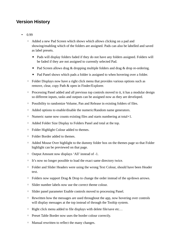## **Version History**

- 0.99
	- Added a new Pad Screen which shows which allows clicking on a pad and showing/enabling which of the folders are assigned. Pads can also be labelled and saved as label presets.
		- Pads will display folders faded if they do not have any folders assigned. Folders will be faded if they are not assigned to currently selected Pad.
		- Pad Screen allows drag & dropping multiple folders and drag & drop re-ordering.
		- Pad Panel shows which pads a folder is assigned to when hovering over a folder.
	- Folder Displays now have a right click menu that provides various options such as remove, clear, copy Path & open in Finder/Explorer.
	- Processing Panel added and all previous top controls moved to it, it has a modular design so different inputs, tasks and outputs can be assigned now as they are developed.
	- Possibility to randomize Volume, Pan and Release in existing folders of files.
	- Added options to enable/disable the numeric/Random name generators.
	- Numeric name now counts existing files and starts numbering at total+1.
	- Added Folder Size Display to Folders Panel and total at the top.
	- Folder Highlight Colour added to themes.
	- Folder Border added to themes.
	- Added Mouse Over highlight to the dummy folder box on the themes page so that Folder highlight can be previewed on that page.
	- Output Amount now displays 'All' instead of -1.
	- It's now no longer possible to load the exact same directory twice.
	- Folder and Slider Headers were using the wrong Text Colour, should have been Header text.
	- Folders now support Drag & Drop to change the order instead of the up/down arrows.
	- Slider number labels now use the correct theme colour.
	- Slider panel parameter Enable controls moved to processing Panel.
	- Rewritten how the messages are used throughout the app, now hovering over controls will display messages at the top instead of through the Tooltip system.
	- Right click menu added to file displays with delete file/save etc…
	- Preset Table Border now uses the border colour correctly.
	- Manual rewritten to reflect the many changes.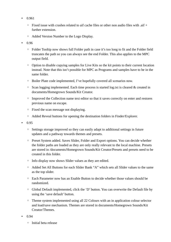- 0.961
	- $\degree$  Fixed issue with crashes related to aif cache files or other non audio files with .aif  $+$ further extension.
	- Added Version Number to the Logo Display.
- 0.96
	- Folder Tooltip now shows full Folder path in case it's too long to fit and the Folder field truncates the path so you can always see the end Folder. This also applies to the MPC output field.
	- Option to disable copying samples for Live Kits so the kit points to their current location instead. Note that this isn't possible for MPC as Programs and samples have to be in the same folder.
	- Boiler Plate code implemented, I've hopefully covered all scenarios now.
	- Scan logging implemented. Each time process is started log.txt is cleared & created in documents/Homegrown Sounds/Kit Creator.
	- Improved the Collection name text editor so that it saves correctly on enter and restores previous name on escape.
	- Fixed the scan message not displaying.
	- Added Reveal buttons for opening the destination folders in Finder/Explorer.
- 0.95
	- Settings storage improved so they can easily adapt to additional settings in future updates and a pathway towards themes and presets.
	- Preset System added. Saves Slider, Folder and Export options. You can decide whether the folder paths are loaded as they are only really relevant to the local machine. Presets are stored in /documents/Homegrown Sounds/Kit Creator/Presets and presets need to be created in this folder.
	- Info display now shows Slider values as they are edited.
	- Added Set All Buttons for each Slider Bank "A" which sets all Slider values to the same as the top slider.
	- Each Parameter now has an Enable Button to decide whether those values should be randomized.
	- Global Default implemented, click the 'D' button. You can overwrite the Default file by using the 'save default' button.
	- Theme system implemented using all 22 Colours with an in application colour selector and load/save mechanism. Themes are stored in documents/Homegrown Sounds/Kit Creator/Themes.
- $0.94$ 
	- Initial beta release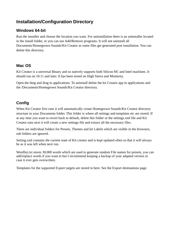# **Installation/Configuration Directory**

#### **Windows 64-bit**

Run the installer and choose the location you want. For uninstallation there is an uninstaller located in the install folder, or you can use Add/Remove programs. It will not uninstall all Documents/Homegrown Sounds/Kit Creator as some files get generated post installation. You can delete this directory.

#### **Mac OS**

Kit Creator is a universal Binary and so natively supports both Silicon M1 and Intel machines. It should run on 10.11 and later. It has been tested on High Sierra and Monterey.

Open the dmg and drag to applications. To uninstall delete the kit Creator app in applications and the /Documents/Homegrown Sounds/Kit Creator directory.

### **Config**

When Kit Creator first runs it will automatically create Homegrown Sounds/Kit Creator directory structure in your Documents folder. This folder is where all settings and templates etc are stored. If at any time you want to revert back to default, delete this folder or the settings.xml file and Kit Creator runs next it will create a new settings file and extract all the necessary files.

There are individual folders for Presets, Themes and kit Labels which are visible in the browsers, sub folders are ignored.

Setting.xml contains the current state of Kit creator and is kept updated often so that it will always be as it was left when next run.

Wordlist.txt stores 30,000 words which are used to generate random File names for presets, you can add/replace words if you want to but I recommend keeping a backup of your adapted version in case it ever gets overwritten.

Templates for the supported Export targets are stored in here. See the Export destinations page.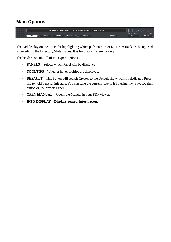## **Main Options**



The Pad display on the left is for highlighting which pads on MPC/Live Drum Rack are being used when editing the Directory/Slider pages. It is for display reference only.

The header contains all of the export options:

- **PANELS –** Selects which Panel will be displayed.
- **TOOLTIPS** Whether hover tooltips are displayed.
- **DEFAULT** This button will set Kit Creator to the Default file which is a dedicated Preset file to hold a useful init state. You can save the current state to it by using the 'Save Deafult' button on the presets Panel.
- **OPEN MANUAL** Opens the Manual in your PDF viewer.
- **INFO DISPLAY Displays general information.**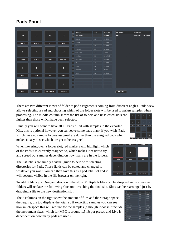## **Pads Panel**

|                  |                   |                         |                 | $\left(\mathbf{x}\right)$<br><b>FOLDERS</b>   | 3558 | 398.1 MB | <b>PAD LABELS</b> | <b>MODIFIED</b>       |
|------------------|-------------------|-------------------------|-----------------|-----------------------------------------------|------|----------|-------------------|-----------------------|
|                  |                   |                         |                 |                                               |      |          | Basic             | 8 Jun 2022 10:57:28am |
| 13               | 14                | 15                      | 16              | $\vert \textbf{v} \vert$<br><b>Bass Drums</b> | 577  | 69.8 MB  |                   |                       |
|                  |                   |                         |                 | <b>Snares</b><br>Ω                            | 623  | 45.6 MB  |                   |                       |
| PERC 1           | PERC <sub>2</sub> | FX <sub>1</sub>         | FX <sub>2</sub> | <b>HiHats</b><br>□                            | 233  | 18.0 MB  |                   |                       |
|                  |                   |                         |                 | ∩<br><b>Claps</b>                             | 156  | 14.4 MB  |                   |                       |
|                  |                   |                         |                 | Hihats <sub>2</sub><br>П                      | 464  | 40.4 MB  |                   |                       |
| 9                | 10                | 11                      | 12              | □<br>Cow Bells                                | 58   | 5.5 MB   |                   |                       |
|                  |                   |                         |                 | □<br>Cymbals                                  | 529  | 102.5 MB |                   |                       |
| TOM <sub>1</sub> | TOM <sub>2</sub>  | TOM <sub>3</sub>        | <b>COW BELL</b> | Dual Synth                                    | 285  | 39.0 MB  |                   |                       |
|                  |                   |                         |                 | Misc<br>∩                                     | 143  | 13.8 MB  |                   |                       |
|                  |                   |                         |                 | ⊓<br>Noise                                    | 128  | 13.8 MB  |                   |                       |
| 5                | 6                 | $\overline{z}$          | 8               | <b>Rim Shot</b><br>. .                        | 130  | 9.6 MB   |                   |                       |
|                  |                   |                         |                 | n<br>Toms                                     | 232  | 25.6 MB  |                   |                       |
| <b>KICK</b>      | <b>CLAP</b>       | <b>RIM</b>              | <b>CYMBAL</b>   | n                                             |      |          |                   |                       |
|                  |                   |                         |                 | □                                             |      |          |                   |                       |
|                  |                   |                         |                 | $\Box$                                        |      |          |                   |                       |
| $\mathbf{1}$     | $\overline{2}$    | $\overline{\mathbf{3}}$ | $\overline{4}$  | □                                             |      |          |                   |                       |
|                  |                   |                         |                 |                                               |      |          |                   |                       |
| <b>KICK</b>      | SNARE             | HH CLOSED               | HH OPEN         |                                               |      |          | <b>SAVE AS</b>    |                       |
|                  |                   |                         |                 |                                               |      |          |                   |                       |

There are two different views of folder to pad assignments coming from different angles. Pads View allows selecting a Pad and choosing which of the folder slots will be used to assign samples when processing. The middle column shows the list of folders and unselected slots are

lighter than those which have been selected.

Usually you will want to have all 16 Pads filled with samples in the exported Kits, this is optional however you can leave some pads blank if you wish. Pads which have no sample folders assigned are duller than the assigned pads which makes it easy to see which are yet to be assigned.

When hovering over a folder slot, red markers will highlight which of the Pads it is currently assigned to, which makes it easier to try and spread out samples depending on how many are in the folders.

The Kit labels are simply a visual guide to help with selecting directories for Pads. These fields can be edited and changed to whatever you want. You can then save this as a pad label set and it will become visible in the file browser on the right.

To add Folders just Drag and drop onto the slots. Multiple folders can be dropped and successive folders will replace the following slots until reaching the final slot. Slots can be rearranged just by dragging a file to the new destination slot.

The 2 columns on the right show the amount of files and the storage space the require, the top displays the total, so if exporting samples you can see how much space this will require for the samples (although it doesn't include the instrument sizes, which for MPC is around 1.5mb per preset, and Live is dependent on how many pads are used).





| 398.1 MB                                    | 3558 | <b>FOLDERS</b>    | $\mathbf{x}$                       |
|---------------------------------------------|------|-------------------|------------------------------------|
| 69.8 MB                                     | 577  | <b>Bass Drums</b> | $\left\vert \mathbf{v}\right\vert$ |
| 45.6 MB                                     | 623  | <b>Snares</b>     | n                                  |
| 18.0 MB                                     | 233  | <b>HiHats</b>     | H                                  |
| 14.4 MB                                     | 156  | Claps             | H                                  |
| 40.4 MB                                     | 464  | <b>Hihats 2</b>   | n                                  |
| <b>5.5 MB</b>                               | 58   | Cow Bells         | H                                  |
| 102.5 MB                                    | 529  | Cymbals           | O                                  |
| 39.0 MB                                     | 285  | <b>Dual Synth</b> | □                                  |
| <b>13.8 MB</b>                              | 143  | Misc              | o                                  |
| <b>12 &amp; MB</b><br><b>How many audio</b> | 128  | <b>Noise</b>      | n                                  |
| 9.6 MB                                      | 130  | <b>Rim Shot</b>   | П                                  |
| 25.6 MR                                     | 232  | Toms              |                                    |
|                                             |      |                   | г                                  |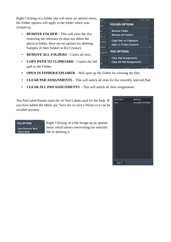Right Clicking on a folder slot will show an options menu, the Folder options will apply to the folder which was clicked on.

- **REMOVE FOLDER** This will clear the slot removing the reference (it does not delete the physical folder, there are no options for deleting Samples of their folders in Kit Creator).
- **REMOVE ALL FOLDERS** Clears all slots.
- **COPY PATH TO CLIPBOARD** Copies the full path to the Folder.
- **OPEN IN FINDER/EXPLORER** Will open up the Folder for viewing the files.
- **CLEAR PAD ASSIGNMENTS** This will untick all slots for the currently selected Pad.
- **CLEAR ALL PAD ASSIGNMENTS** This will untick all slots assignments.

The Pad Label Presets store the 16 Text Labels used for the Pads. If you have edited the labels use 'Save As' to save a Preset so it can be recalled anytime.

#### **FILE OPTIONS**

Save/Overwrite 'Basic' Delete 'Basic'

Right Clicking on a file brings up an options menu which allows overwriting the selected file or deleting it.



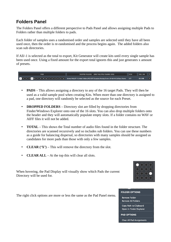## **Folders Panel**

The Folders Panel offers a different perspective to Pads Panel and allows assigning multiple Pads to Folders rather than multiple folders to pads.

Each folder of samples uses a randomised order and samples are selected until they have all been used once, then the order is re-randomised and the process begins again. The added folders also scan sub directories.

If All/-1 is selected as the total to export, Kit Generator will create kits until every single sample has been used once. Using a fixed amount for the export total ignores this and just generates x amount of presets.



- **PADS** This allows assigning a directory to any of the 16 target Pads. They will then be used as a valid sample pool when creating Kits. When more than one directory is assigned to a pad, one directory will randomly be selected as the source for each Preset.
- **DROPPED FOLDERS** Directory slot are filled by dropping directories from Finder/Windows Explorer onto one of the 16 slots. You can also drop multiple folders onto the header and they will automatically populate empty slots. If a folder contains no WAV or AIFF files it will not be added.
- **TOTAL** This shows the Total number of audio files found in the folder structure. The directories are scanned recursively and so includes sub folders. You can use these numbers as a guide for balancing dispersal, so directories with many samples should be assigned as candidates for more pads than those with only a few samples.
- **CLEAR ('X')** This will remove the directory from the slot.
- **CLEAR ALL** At the top this will clear all slots.

When hovering, the Pad Display will visually show which Pads the current Directory will be used for.



#### **FOLDER OPTIONS**

**Remove Folder Remove All Folders** 

Copy Path to Clipboard Open in Finder/Explorer

**PAD OPTIONS** 

**Clear All Pad Assignments** 

The right click options are more or less the same as the Pad Panel menu.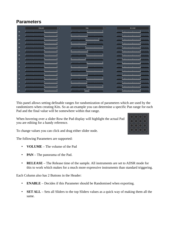## **Parameters**

|                         |                                                                                                         | <b>PAN</b> $\begin{bmatrix} A \end{bmatrix}$                | <b>Executive RELEASE</b>                                |
|-------------------------|---------------------------------------------------------------------------------------------------------|-------------------------------------------------------------|---------------------------------------------------------|
| 16                      | <u> La seu Carrier de Martin e la</u>                                                                   | <u> La calva e Maria Caral</u>                              | المحاربين الأغمام والمتعاطفة والمراجع                   |
| 15                      |                                                                                                         | <u> Taire Lane Fan</u> a Lane I                             | <u> La Sisa disawi</u> l carl                           |
| 14                      | $1 + 3 + 1 + 3 + 1 + 2 + 1 + 2 + 1$                                                                     | <u> 1989 - Personal III, p</u>                              | <u> 1982 - Paul Personal</u>                            |
| 13                      | <u> La contra contra livera l</u>                                                                       | <u> Tannel ann 7</u> no a faoi a l                          | المتعادلا الأغلب والتعادية الكردينا                     |
| 12                      | $\frac{1}{2}$ and $\frac{1}{2}$ and $\frac{1}{2}$ and $\frac{1}{2}$ and $\frac{1}{2}$ and $\frac{1}{2}$ | <u>la caísa <mark>tisas i caoi</mark>t</u>                  | <u> Lei<mark>t is reis ef</mark>ter</u> l               |
| $\frac{1}{2}$           |                                                                                                         | <u> Leonard Bearing</u>                                     |                                                         |
| 10                      |                                                                                                         | <u>ا تعمیل که ملاد</u> بیمانه میکا                          | ان بن <mark>تي من با</mark> ن من انت                    |
| 9                       | <u>   233   233   243   233  </u>                                                                       |                                                             | <u>le est la certa cel</u> social                       |
| $\boldsymbol{8}$        | <b>Lange Barrow Bank Barrow</b>                                                                         | <u> Leonard I (1954)</u>                                    | <u> Le Carrie de Carrie</u>                             |
| $\overline{z}$          | <u>tana isan Tso Basa</u>                                                                               | <u> Tanahan a P</u> ana Pana I                              | <u> Long (Balance Inconstitution)</u>                   |
| $6\phantom{a}$          | $1 + 3 + 1 + 3 + 1 + 2 + 1 + 2 + 1$                                                                     | <u> 1989 - 1984 - 1986 - 1986 - 19</u>                      | المحدة ا <sup>لا</sup> لتة بالمحتملة <mark>ك</mark> تما |
| 5                       |                                                                                                         | <u> Tanani ing mga Pangaling ng I</u>                       | ا معرض <mark>قامت میکند.</mark> این این ا               |
| $\overline{4}$          | <u>La santa contra Martina a</u>                                                                        | <u> La cela a d'Espaine de</u>                              | <u> Lei<mark>t î</mark>n cele evî</u> na d              |
| $\overline{\mathbf{3}}$ |                                                                                                         | <u> 1989 - An An A</u> ngel, an Angel                       | <u>المحقيق الأنبية بالمحتمل كتبيا</u>                   |
| $\overline{a}$          | <u> Jacob Kara Kalénder I</u>                                                                           | <u> La calca d'Espaina d'I</u>                              | ا معت <sup>ال</sup> تعدد العاملية القانون ا             |
| $\,$ 1                  | <u>relaysiya tarixi tarixi</u>                                                                          | $1.3$ $6$ $2$ $1.3$ $3$ $2$ $1.2$ $3$ $3$ $1.2$ $3$ $3$ $1$ | 1 <u>.</u> 1                                            |

This panel allows setting definable ranges for randomization of parameters which are used by the randomizers when creating Kits. So as an example you can determine a specific Pan range for each Pad and the final value will be somewhere within that range.

When hovering over a slider Row the Pad display will highlight the actual Pad you are editing for a handy reference.

To change values you can click and drag either slider node.

The following Parameters are supported:

- **VOLUME** The volume of the Pad
- **PAN** The panorama of the Pad.
- **RELEASE** The Release time of the sample. All instruments are set to ADSR mode for this to work which makes for a much more expressive instruments than standard triggering.

Each Column also has 2 Buttons in the Header:

- **ENABLE** Decides if this Parameter should be Randomised when exporting.
- **SET ALL** Sets all Sliders to the top Sliders values as a quick way of making them all the same.

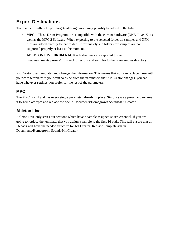## **Export Destinations**

There are currently 2 Export targets although more may possibly be added in the future.

- **MPC** These Drum Programs are compatible with the current hardware (ONE, Live, X) as well as the MPC 2 Software. When exporting to the selected folder all samples and XPM files are added directly to that folder. Unfortunately sub folders for samples are not supported properly at least at the moment.
- **ABLETON LIVE DRUM RACK** Instruments are exported to the user/instruments/presets/drum rack directory and samples to the user/samples directory.

Kit Creator uses templates and changes the information. This means that you can replace these with your own templates if you want so aside from the parameters that Kit Creator changes, you can have whatever settings you prefer for the rest of the parameters.

#### **MPC**

The MPC is xml and has every single parameter already in place. Simply save a preset and rename it to Template.xpm and replace the one in Documents/Homegrown Sounds/Kit Creator.

#### **Ableton Live**

Ableton Live only saves out sections which have a sample assigned so it's essential, if you are going to replace the template, that you assign a sample to the first 16 pads. This will ensure that all 16 pads will have the needed structure for Kit Creator. Replace Template.adg in Documents/Homegrown Sounds/Kit Creator.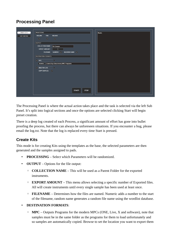## **Processing Panel**

| <b>CREATE KITS</b> | <b>PROCESSING</b><br>Ready.                                               |
|--------------------|---------------------------------------------------------------------------|
| EDIT EXISTING      | <b>VOLUME</b><br>PAN<br><b>RELEASE</b>                                    |
|                    | $\begin{array}{ccc} \hline \bullet & \circ & \circ \\ \hline \end{array}$ |
|                    | OUTPUT                                                                    |
|                    | <b>COLLECTION NAME:</b><br>Kit Creator                                    |
|                    | <b>EXPORT AMOUNT:</b><br>$5^{\circ}$                                      |
|                    | FILENAME: NUMERIC: v RANDOM NAME: v                                       |
|                    | <b>DESTINATION FORMATS</b>                                                |
|                    | $\odot$<br>$\boxed{\checkmark}$ MPC                                       |
|                    | BROWSE   /Users/hgs/Documents/MPC Programs                                |
|                    | $\overline{\phantom{a}}$ $\circ$<br>$\boxed{\checkmark}$ ABLETON LIVE     |
|                    | COPY SAMPLES: $\boxed{\checkmark}$                                        |
|                    |                                                                           |
|                    |                                                                           |
|                    |                                                                           |
|                    |                                                                           |
|                    |                                                                           |
|                    | START!<br>STOP!                                                           |
|                    |                                                                           |
|                    |                                                                           |

The Processing Panel is where the actual action takes place and the task is selected via the left Sub Panel. It's split into logical sections and once the options are selected clicking Start will begin preset creation.

There is a deep log created of each Process, a significant amount of effort has gone into bullet proofing the process, but there can always be unforeseen situations. If you encounter a bug, please email the log.txt. Note that the log is replaced every time Start is pressed.

#### **Create Kits**

This mode is for creating Kits using the templates as the base, the selected parameters are then generated and the samples assigned to pads.

- **PROCESSING** Select which Parameters will be randomized.
- **OUTPUT** Options for the file output:
	- **COLLECTION NAME** This will be used as a Parent Folder for the exported instruments.
	- **EXPORT AMOUNT** This menu allows selecting a specific number of Exported files. All will create instruments until every single sample has been used at least once.
	- **FILENAME** Determines how the files are named. Numeric adds a number to the start of the filename, random name generates a random file name using the wordlist database.
- **DESTINATION FORMATS**:
	- **MPC** Outputs Programs for the modern MPCs (ONE, Live, X and software), note that samples must be in the same folder as the programs for them to load unfortunately and so samples are automatically copied. Browse to set the location you want to export them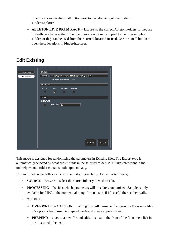to and you can use the small button next to the label to open the folder in Finder/Explorer.

◦ **ABLETON LIVE DRUM RACK** – Exports to the correct Ableton Folders so they are instantly available within Live. Samples are optionally copied to the Live samples Folder, or they can be used from their current location instead. Use the small button to open these locations in Finder/Explorer.

## **Edit Existing**

| <b>CREATE KITS</b>   | SOURCE                            |                        |                             |               |                                                 |
|----------------------|-----------------------------------|------------------------|-----------------------------|---------------|-------------------------------------------------|
| <b>EDIT EXISTING</b> | <b>BROWSE</b>                     |                        |                             |               | /Users/hgs/Documents/MPC Programs/My Collection |
|                      |                                   |                        | XPM Mode: 396 Presets Found |               |                                                 |
|                      |                                   |                        |                             |               |                                                 |
|                      | <b>VOLUME</b>                     | <b>PAN</b>             | <b>RELEASE</b>              | <b>SAMPLE</b> |                                                 |
|                      | $\left[\blacktriangledown\right]$ | $\boxed{\bullet}$      | $\sqrt{2}$                  | $\sqrt{2}$    |                                                 |
|                      | <b>OUTPUT</b>                     |                        |                             |               |                                                 |
|                      | <b>OVERWRITE</b>                  |                        |                             |               |                                                 |
|                      | □                                 | PREPEND: <sub>kc</sub> |                             |               |                                                 |
|                      |                                   |                        |                             |               | START!<br>STOP!                                 |

This mode is designed for randomizing the parameters in Existing files. The Export type is automatically selected by what files it finds in the selected folder, MPC takes precedent in the unlikely event a folder contains both .xpm and adg.

Be careful when using this as there is no undo if you choose to overwrite folders,

- **SOURCE** Browse to select the source folder you wish to edit.
- **PROCESSING** Decides which parameters will be edited/randomized. Sample is only available for MPC at the moment, although I'm not sure if it's useful there either really.
- **OUTPUT:**
	- **OVERWRITE** CAUTION! Enabling this will permanently overwrite the source files, it's a good idea to use the prepend mode and create copies instead.
	- **PREPEND** saves to a new file and adds this text to the front of the filename, click in the box to edit the text.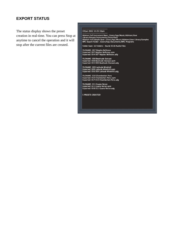#### **EXPORT STATUS**

The status display shows the preset creation in real-time. You can press Stop at anytime to cancel the operation and it will stop after the current files are created.

#### 19 Jun 2022 12:25:13pm

Folder Scan: 16 Folders - found 3558 Audio Files

|<br>| FILENAME: 007 Nipples Bellicose<br>| Exported: 007 Nipples Bellicose.xpm<br>| Exported: 054 007 Nipples Bellicose.adg

FILENAME: 008 Beatitude Outcast<br>Exported: 008 Beatitude Outcast.xpm<br>Exported: 055 008 Beatitude Outcast.adg

|<br>| FILENAME: 009 Latitude Windmill<br>| Exported: 009 Latitude Windmill.xpm<br>| Exported: 056 009 Latitude Windmill.adg

FILENAME: 010 Chamberlain Pens<br>Exported: 010 Chamberlain Pens.xpm<br>Exported: 057 010 Chamberlain Pens.adg

FILENAME: 011 Guano Rerun<br>Exported: 011 Guano Rerun.xpm<br>Exported: 058 011 Guano Rerun.adg

5 PRESETS CREATED!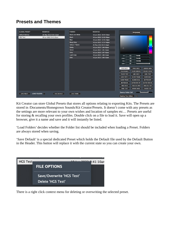## **Presets and Themes**

| <b>GLOBAL PRESET</b> | <b>MODIFIED</b>                     | <b>THEMES</b>          | <b>MODIFIED</b>        | <b>FF42464B</b>                                                     |
|----------------------|-------------------------------------|------------------------|------------------------|---------------------------------------------------------------------|
| Default Backup       | 26 May 2022 8:35:22pm               | <b>Black and White</b> | 18 Jun 2022 10:54:30am |                                                                     |
| <b>HGS Test</b>      | 19 Jun 2022 9:41:10am               | Black                  | 18 Jun 2022 12:52:00pm |                                                                     |
|                      |                                     | Blue                   | 18 Jun 2022 12:55:28pm |                                                                     |
|                      |                                     | <b>Bluey Grey</b>      | 18 Jun 2022 12:57:48pm |                                                                     |
|                      |                                     | <b>Default Theme</b>   | 26 May 2022 8:35:42pm  | ь                                                                   |
|                      |                                     | Goldy                  | 18 Jun 2022 1:04:08pm  | $\circ$                                                             |
|                      |                                     | Green                  | 18 Jun 2022 1:05:34pm  |                                                                     |
|                      |                                     | Grey                   | 18 Jun 2022 1:07:56pm  |                                                                     |
|                      |                                     | <b>Light Grey</b>      | 18 Jun 2022 1:08:44pm  | 42<br>red:                                                          |
|                      |                                     | Oats                   | 18 Jun 2022 1:09:24pm  | 46<br>green:                                                        |
|                      |                                     |                        |                        | 4B<br>blue:                                                         |
|                      |                                     |                        |                        | FF.<br>alpha:                                                       |
|                      |                                     |                        |                        |                                                                     |
|                      |                                     |                        |                        | <b>MAIN BACK</b><br><b>PANEL BACK</b><br><b>BORDER MAIN</b>         |
|                      |                                     |                        |                        | <b>FOLDER BACK</b><br><b>FOLDER BORDER</b><br><b>FOLDER HOVER</b>   |
|                      |                                     |                        |                        | <b>FOLDER TEXT</b><br><b>LABEL BACK</b><br><b>LABEL TEXT</b>        |
|                      |                                     |                        |                        | <b>SLIDER THUMB</b><br><b>LABEL TEXT 2</b><br><b>SLIDER BACK</b>    |
|                      |                                     |                        |                        | SLIDER SCALE<br><b>SLIDER TRACK</b><br><b>BUTTON OFF</b>            |
|                      |                                     |                        |                        | <b>BUTTON TEXT OFF</b><br><b>BUTTON ON</b><br><b>BUTTON TEXT ON</b> |
|                      |                                     |                        |                        | TABLE SEL BACK<br><b>TABLE BACK</b><br>TABLE SEL TEXT               |
|                      |                                     |                        |                        | HEADER TEXT<br><b>TABLE TEXT</b><br><b>HEADER BACK</b>              |
| <b>SAVE PRESET</b>   | LOAD FOLDERS<br><b>SAVE DEFAULT</b> | SAVE THEME             |                        | Dummy Folder Cell                                                   |
|                      |                                     |                        |                        | $\left\vert \mathbf{v}\right\vert$<br><b>Dummy Text Editor</b>      |

Kit Creator can store Global Presets that stores all options relating to exporting Kits. The Presets are stored in /Documents*/*Homegrown Sounds/Kit Creator/Presets. It doesn't come with any presets as the settings are more relevant to your own wishes and location of samples etc… Presets are useful for storing & recalling your own profiles. Double click on a file to load it. Save will open up a browser, give it a name and save and it will instantly be listed.

'Load Folders' decides whether the Folder list should be included when loading a Preset. Folders are always stored when saving.

'Save Default' is a special dedicated Preset which holds the Default file used by the Default Button in the Header. This button will replace it with the current state so you can create your own.



There is a right click context menu for deleting or overwriting the selected preset.